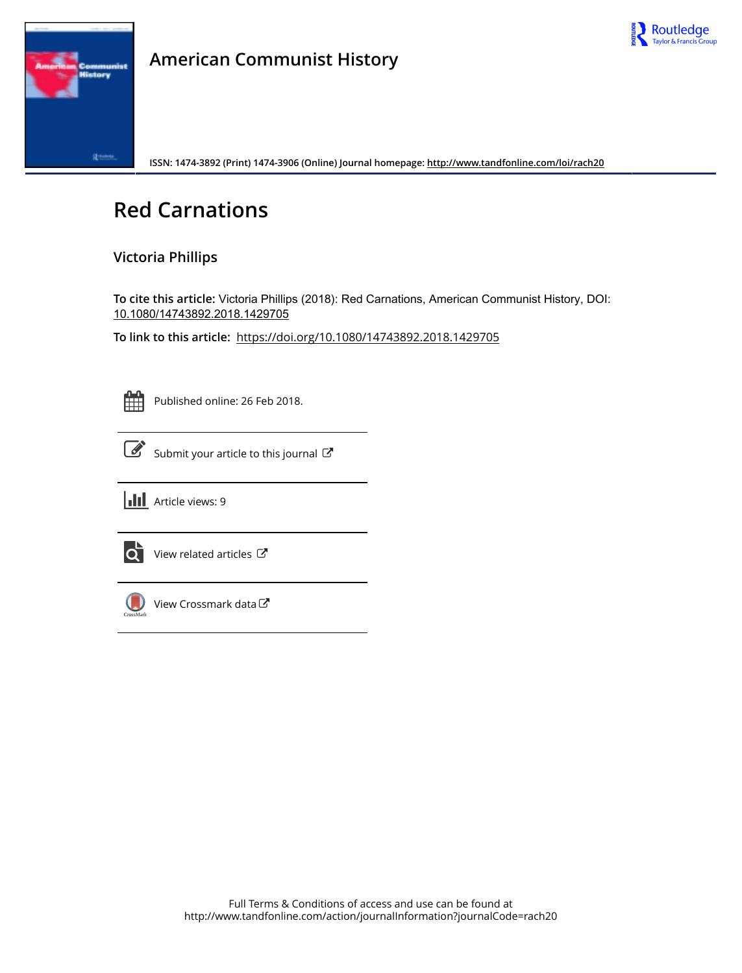



## **American Communist History**

**ISSN: 1474-3892 (Print) 1474-3906 (Online) Journal homepage:<http://www.tandfonline.com/loi/rach20>**

# **Red Carnations**

#### **Victoria Phillips**

**To cite this article:** Victoria Phillips (2018): Red Carnations, American Communist History, DOI: [10.1080/14743892.2018.1429705](http://www.tandfonline.com/action/showCitFormats?doi=10.1080/14743892.2018.1429705)

**To link to this article:** <https://doi.org/10.1080/14743892.2018.1429705>

Published online: 26 Feb 2018.

|--|

[Submit your article to this journal](http://www.tandfonline.com/action/authorSubmission?journalCode=rach20&show=instructions)  $\mathbb{Z}$ 





 $\overrightarrow{Q}$  [View related articles](http://www.tandfonline.com/doi/mlt/10.1080/14743892.2018.1429705)  $\overrightarrow{C}$ 



 $\bigcirc$  [View Crossmark data](http://crossmark.crossref.org/dialog/?doi=10.1080/14743892.2018.1429705&domain=pdf&date_stamp=2018-02-26)  $\mathbb{Z}$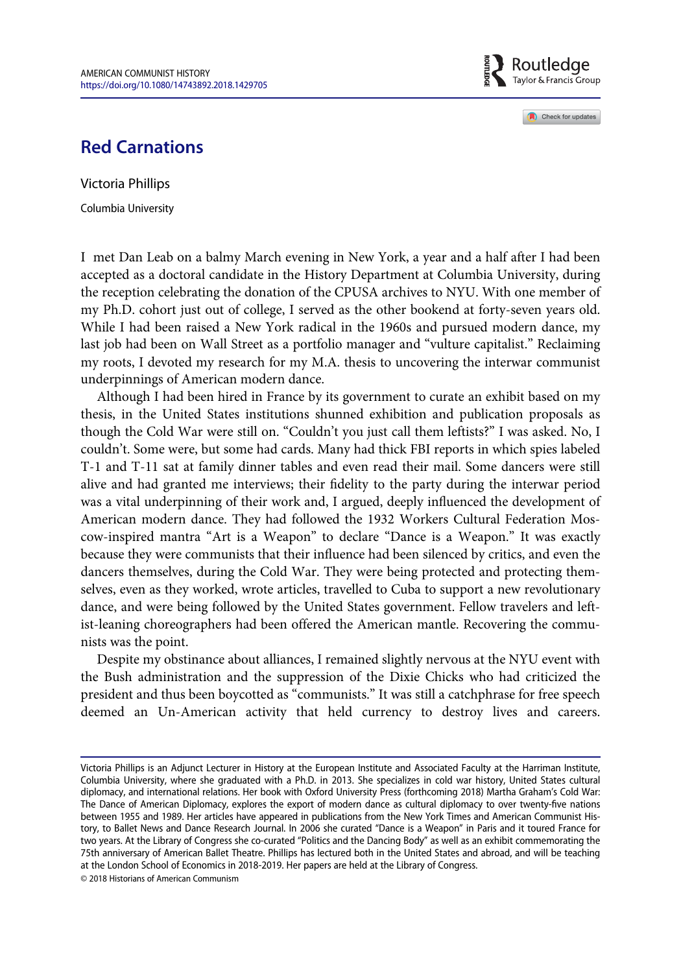

Check for updates

### Red Carnations

Victoria Phillips Columbia University

I met Dan Leab on a balmy March evening in New York, a year and a half after I had been accepted as a doctoral candidate in the History Department at Columbia University, during the reception celebrating the donation of the CPUSA archives to NYU. With one member of my Ph.D. cohort just out of college, I served as the other bookend at forty-seven years old. While I had been raised a New York radical in the 1960s and pursued modern dance, my last job had been on Wall Street as a portfolio manager and "vulture capitalist." Reclaiming my roots, I devoted my research for my M.A. thesis to uncovering the interwar communist underpinnings of American modern dance.

Although I had been hired in France by its government to curate an exhibit based on my thesis, in the United States institutions shunned exhibition and publication proposals as though the Cold War were still on. "Couldn't you just call them leftists?" I was asked. No, I couldn't. Some were, but some had cards. Many had thick FBI reports in which spies labeled T-1 and T-11 sat at family dinner tables and even read their mail. Some dancers were still alive and had granted me interviews; their fidelity to the party during the interwar period was a vital underpinning of their work and, I argued, deeply influenced the development of American modern dance. They had followed the 1932 Workers Cultural Federation Moscow-inspired mantra "Art is a Weapon" to declare "Dance is a Weapon." It was exactly because they were communists that their influence had been silenced by critics, and even the dancers themselves, during the Cold War. They were being protected and protecting themselves, even as they worked, wrote articles, travelled to Cuba to support a new revolutionary dance, and were being followed by the United States government. Fellow travelers and leftist-leaning choreographers had been offered the American mantle. Recovering the communists was the point.

Despite my obstinance about alliances, I remained slightly nervous at the NYU event with the Bush administration and the suppression of the Dixie Chicks who had criticized the president and thus been boycotted as "communists." It was still a catchphrase for free speech deemed an Un-American activity that held currency to destroy lives and careers.

© 2018 Historians of American Communism

Victoria Phillips is an Adjunct Lecturer in History at the European Institute and Associated Faculty at the Harriman Institute, Columbia University, where she graduated with a Ph.D. in 2013. She specializes in cold war history, United States cultural diplomacy, and international relations. Her book with Oxford University Press (forthcoming 2018) Martha Graham's Cold War: The Dance of American Diplomacy, explores the export of modern dance as cultural diplomacy to over twenty-five nations between 1955 and 1989. Her articles have appeared in publications from the New York Times and American Communist History, to Ballet News and Dance Research Journal. In 2006 she curated "Dance is a Weapon" in Paris and it toured France for two years. At the Library of Congress she co-curated "Politics and the Dancing Body" as well as an exhibit commemorating the 75th anniversary of American Ballet Theatre. Phillips has lectured both in the United States and abroad, and will be teaching at the London School of Economics in 2018-2019. Her papers are held at the Library of Congress.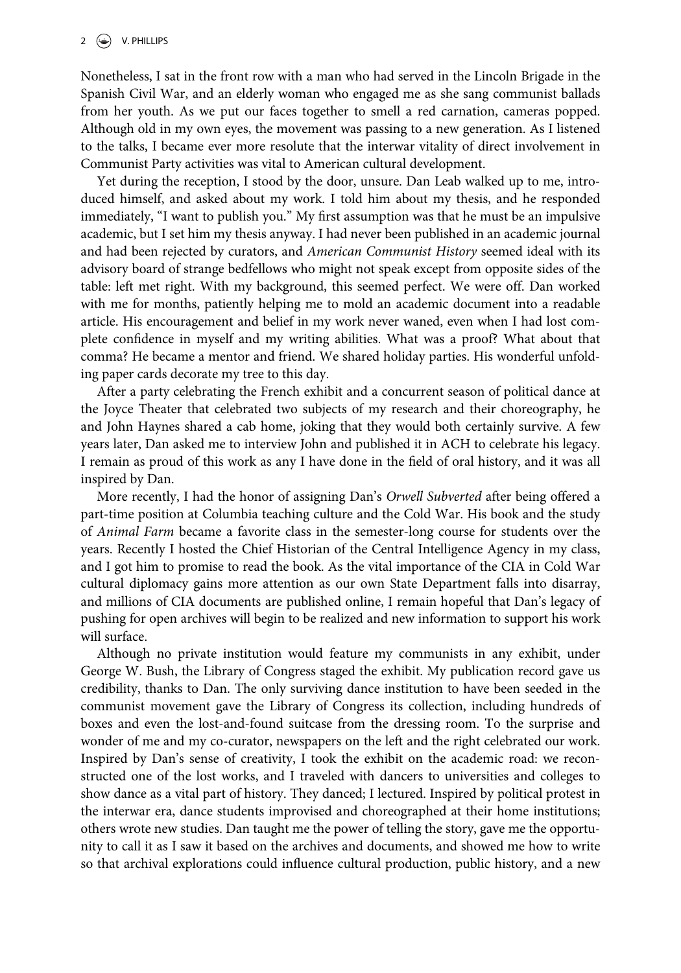Nonetheless, I sat in the front row with a man who had served in the Lincoln Brigade in the Spanish Civil War, and an elderly woman who engaged me as she sang communist ballads from her youth. As we put our faces together to smell a red carnation, cameras popped. Although old in my own eyes, the movement was passing to a new generation. As I listened to the talks, I became ever more resolute that the interwar vitality of direct involvement in Communist Party activities was vital to American cultural development.

Yet during the reception, I stood by the door, unsure. Dan Leab walked up to me, introduced himself, and asked about my work. I told him about my thesis, and he responded immediately, "I want to publish you." My first assumption was that he must be an impulsive academic, but I set him my thesis anyway. I had never been published in an academic journal and had been rejected by curators, and American Communist History seemed ideal with its advisory board of strange bedfellows who might not speak except from opposite sides of the table: left met right. With my background, this seemed perfect. We were off. Dan worked with me for months, patiently helping me to mold an academic document into a readable article. His encouragement and belief in my work never waned, even when I had lost complete confidence in myself and my writing abilities. What was a proof? What about that comma? He became a mentor and friend. We shared holiday parties. His wonderful unfolding paper cards decorate my tree to this day.

After a party celebrating the French exhibit and a concurrent season of political dance at the Joyce Theater that celebrated two subjects of my research and their choreography, he and John Haynes shared a cab home, joking that they would both certainly survive. A few years later, Dan asked me to interview John and published it in ACH to celebrate his legacy. I remain as proud of this work as any I have done in the field of oral history, and it was all inspired by Dan.

More recently, I had the honor of assigning Dan's Orwell Subverted after being offered a part-time position at Columbia teaching culture and the Cold War. His book and the study of Animal Farm became a favorite class in the semester-long course for students over the years. Recently I hosted the Chief Historian of the Central Intelligence Agency in my class, and I got him to promise to read the book. As the vital importance of the CIA in Cold War cultural diplomacy gains more attention as our own State Department falls into disarray, and millions of CIA documents are published online, I remain hopeful that Dan's legacy of pushing for open archives will begin to be realized and new information to support his work will surface.

Although no private institution would feature my communists in any exhibit, under George W. Bush, the Library of Congress staged the exhibit. My publication record gave us credibility, thanks to Dan. The only surviving dance institution to have been seeded in the communist movement gave the Library of Congress its collection, including hundreds of boxes and even the lost-and-found suitcase from the dressing room. To the surprise and wonder of me and my co-curator, newspapers on the left and the right celebrated our work. Inspired by Dan's sense of creativity, I took the exhibit on the academic road: we reconstructed one of the lost works, and I traveled with dancers to universities and colleges to show dance as a vital part of history. They danced; I lectured. Inspired by political protest in the interwar era, dance students improvised and choreographed at their home institutions; others wrote new studies. Dan taught me the power of telling the story, gave me the opportunity to call it as I saw it based on the archives and documents, and showed me how to write so that archival explorations could influence cultural production, public history, and a new